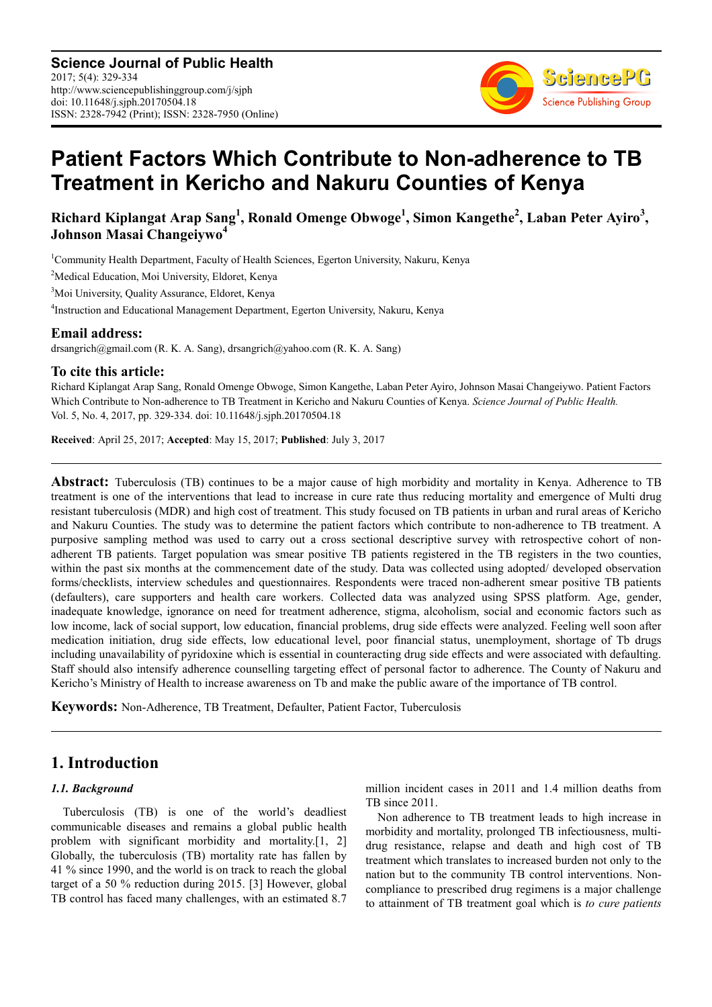

# **Patient Factors Which Contribute to Non-adherence to TB Treatment in Kericho and Nakuru Counties of Kenya**

# $R$ ichard Kiplangat Arap Sang<sup>1</sup>, Ronald Omenge Obwoge<sup>1</sup>, Simon Kangethe<sup>2</sup>, Laban Peter Ayiro<sup>3</sup>, **Johnson Masai Changeiywo<sup>4</sup>**

<sup>1</sup>Community Health Department, Faculty of Health Sciences, Egerton University, Nakuru, Kenya

<sup>2</sup>Medical Education, Moi University, Eldoret, Kenya

<sup>3</sup>Moi University, Quality Assurance, Eldoret, Kenya

4 Instruction and Educational Management Department, Egerton University, Nakuru, Kenya

#### **Email address:**

drsangrich@gmail.com (R. K. A. Sang), drsangrich@yahoo.com (R. K. A. Sang)

#### **To cite this article:**

Richard Kiplangat Arap Sang, Ronald Omenge Obwoge, Simon Kangethe, Laban Peter Ayiro, Johnson Masai Changeiywo. Patient Factors Which Contribute to Non-adherence to TB Treatment in Kericho and Nakuru Counties of Kenya. *Science Journal of Public Health.*  Vol. 5, No. 4, 2017, pp. 329-334. doi: 10.11648/j.sjph.20170504.18

**Received**: April 25, 2017; **Accepted**: May 15, 2017; **Published**: July 3, 2017

**Abstract:** Tuberculosis (TB) continues to be a major cause of high morbidity and mortality in Kenya. Adherence to TB treatment is one of the interventions that lead to increase in cure rate thus reducing mortality and emergence of Multi drug resistant tuberculosis (MDR) and high cost of treatment. This study focused on TB patients in urban and rural areas of Kericho and Nakuru Counties. The study was to determine the patient factors which contribute to non-adherence to TB treatment. A purposive sampling method was used to carry out a cross sectional descriptive survey with retrospective cohort of nonadherent TB patients. Target population was smear positive TB patients registered in the TB registers in the two counties, within the past six months at the commencement date of the study. Data was collected using adopted/ developed observation forms/checklists, interview schedules and questionnaires. Respondents were traced non-adherent smear positive TB patients (defaulters), care supporters and health care workers. Collected data was analyzed using SPSS platform. Age, gender, inadequate knowledge, ignorance on need for treatment adherence, stigma, alcoholism, social and economic factors such as low income, lack of social support, low education, financial problems, drug side effects were analyzed. Feeling well soon after medication initiation, drug side effects, low educational level, poor financial status, unemployment, shortage of Tb drugs including unavailability of pyridoxine which is essential in counteracting drug side effects and were associated with defaulting. Staff should also intensify adherence counselling targeting effect of personal factor to adherence. The County of Nakuru and Kericho's Ministry of Health to increase awareness on Tb and make the public aware of the importance of TB control.

**Keywords:** Non-Adherence, TB Treatment, Defaulter, Patient Factor, Tuberculosis

# **1. Introduction**

#### *1.1. Background*

Tuberculosis (TB) is one of the world's deadliest communicable diseases and remains a global public health problem with significant morbidity and mortality.[1, 2] Globally, the tuberculosis (TB) mortality rate has fallen by 41 % since 1990, and the world is on track to reach the global target of a 50 % reduction during 2015. [3] However, global TB control has faced many challenges, with an estimated 8.7 million incident cases in 2011 and 1.4 million deaths from TB since 2011.

Non adherence to TB treatment leads to high increase in morbidity and mortality, prolonged TB infectiousness, multidrug resistance, relapse and death and high cost of TB treatment which translates to increased burden not only to the nation but to the community TB control interventions. Noncompliance to prescribed drug regimens is a major challenge to attainment of TB treatment goal which is *to cure patients*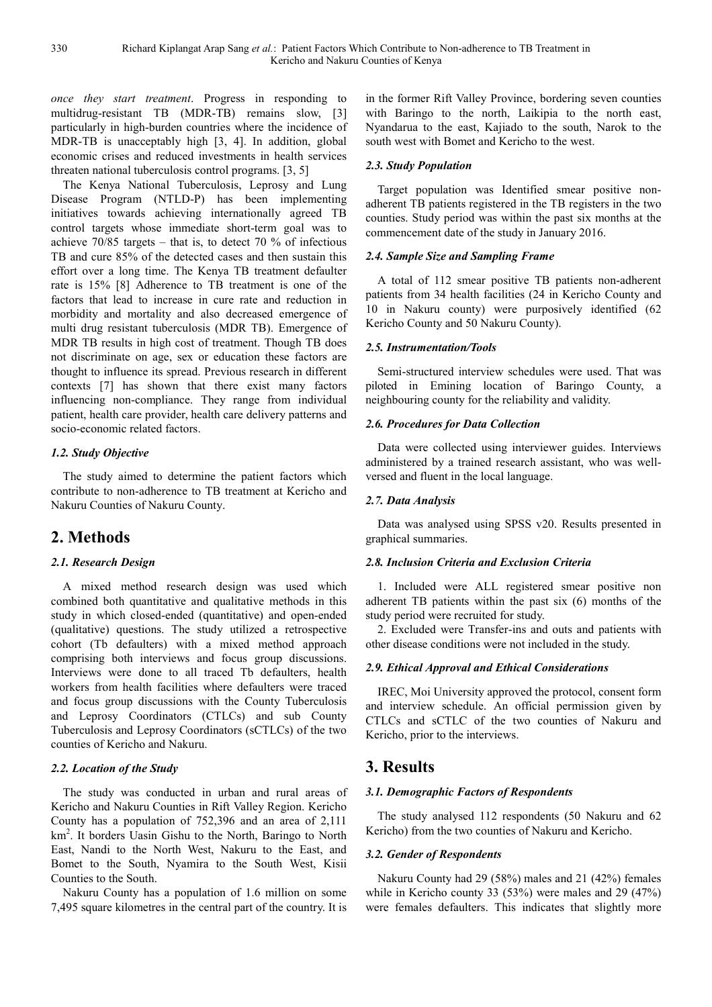*once they start treatment*. Progress in responding to multidrug-resistant TB (MDR-TB) remains slow, [3] particularly in high-burden countries where the incidence of MDR-TB is unacceptably high [3, 4]. In addition, global economic crises and reduced investments in health services threaten national tuberculosis control programs. [3, 5]

The Kenya National Tuberculosis, Leprosy and Lung Disease Program (NTLD-P) has been implementing initiatives towards achieving internationally agreed TB control targets whose immediate short-term goal was to achieve 70/85 targets – that is, to detect 70 % of infectious TB and cure 85% of the detected cases and then sustain this effort over a long time. The Kenya TB treatment defaulter rate is 15% [8] Adherence to TB treatment is one of the factors that lead to increase in cure rate and reduction in morbidity and mortality and also decreased emergence of multi drug resistant tuberculosis (MDR TB). Emergence of MDR TB results in high cost of treatment. Though TB does not discriminate on age, sex or education these factors are thought to influence its spread. Previous research in different contexts [7] has shown that there exist many factors influencing non-compliance. They range from individual patient, health care provider, health care delivery patterns and socio-economic related factors.

#### *1.2. Study Objective*

The study aimed to determine the patient factors which contribute to non-adherence to TB treatment at Kericho and Nakuru Counties of Nakuru County.

# **2. Methods**

### *2.1. Research Design*

A mixed method research design was used which combined both quantitative and qualitative methods in this study in which closed-ended (quantitative) and open-ended (qualitative) questions. The study utilized a retrospective cohort (Tb defaulters) with a mixed method approach comprising both interviews and focus group discussions. Interviews were done to all traced Tb defaulters, health workers from health facilities where defaulters were traced and focus group discussions with the County Tuberculosis and Leprosy Coordinators (CTLCs) and sub County Tuberculosis and Leprosy Coordinators (sCTLCs) of the two counties of Kericho and Nakuru.

#### *2.2. Location of the Study*

The study was conducted in urban and rural areas of Kericho and Nakuru Counties in Rift Valley Region. Kericho County has a population of 752,396 and an area of 2,111 km<sup>2</sup> . It borders Uasin Gishu to the North, Baringo to North East, Nandi to the North West, Nakuru to the East, and Bomet to the South, Nyamira to the South West, Kisii Counties to the South.

Nakuru County has a population of 1.6 million on some 7,495 square kilometres in the central part of the country. It is in the former Rift Valley Province, bordering seven counties with Baringo to the north, Laikipia to the north east, Nyandarua to the east, Kajiado to the south, Narok to the south west with Bomet and Kericho to the west.

#### *2.3. Study Population*

Target population was Identified smear positive nonadherent TB patients registered in the TB registers in the two counties. Study period was within the past six months at the commencement date of the study in January 2016.

#### *2.4. Sample Size and Sampling Frame*

A total of 112 smear positive TB patients non-adherent patients from 34 health facilities (24 in Kericho County and 10 in Nakuru county) were purposively identified (62 Kericho County and 50 Nakuru County).

#### *2.5. Instrumentation/Tools*

Semi-structured interview schedules were used. That was piloted in Emining location of Baringo County, a neighbouring county for the reliability and validity.

#### *2.6. Procedures for Data Collection*

Data were collected using interviewer guides. Interviews administered by a trained research assistant, who was wellversed and fluent in the local language.

#### *2.7. Data Analysis*

Data was analysed using SPSS v20. Results presented in graphical summaries.

#### *2.8. Inclusion Criteria and Exclusion Criteria*

1. Included were ALL registered smear positive non adherent TB patients within the past six (6) months of the study period were recruited for study.

2. Excluded were Transfer-ins and outs and patients with other disease conditions were not included in the study.

#### *2.9. Ethical Approval and Ethical Considerations*

IREC, Moi University approved the protocol, consent form and interview schedule. An official permission given by CTLCs and sCTLC of the two counties of Nakuru and Kericho, prior to the interviews.

# **3. Results**

#### *3.1. Demographic Factors of Respondents*

The study analysed 112 respondents (50 Nakuru and 62 Kericho) from the two counties of Nakuru and Kericho.

#### *3.2. Gender of Respondents*

Nakuru County had 29 (58%) males and 21 (42%) females while in Kericho county 33 (53%) were males and 29 (47%) were females defaulters. This indicates that slightly more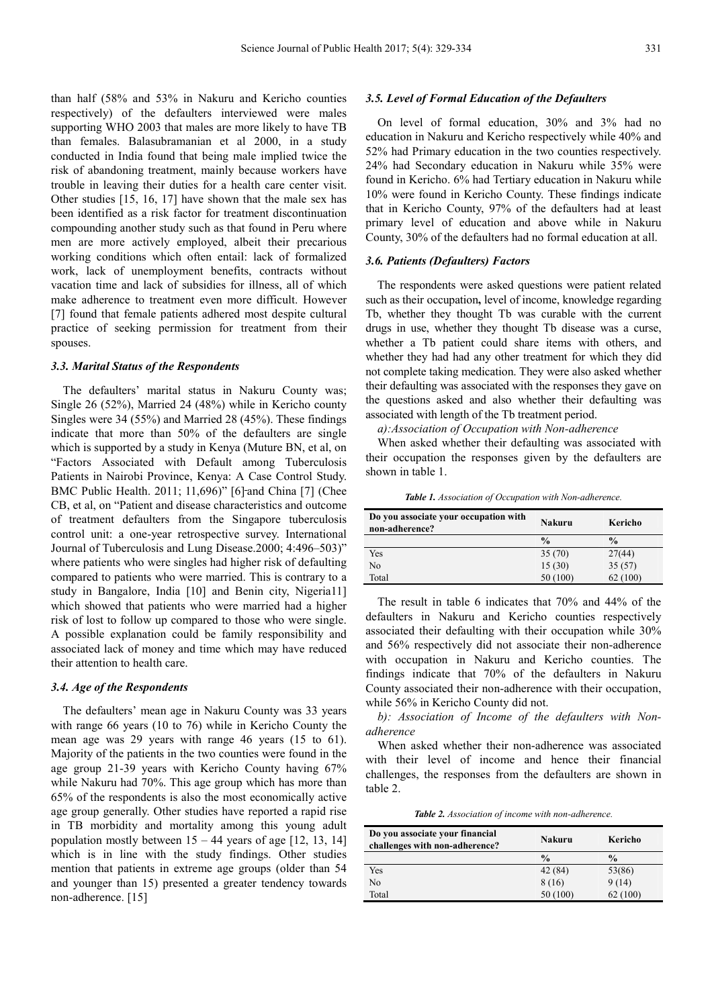than half (58% and 53% in Nakuru and Kericho counties respectively) of the defaulters interviewed were males supporting WHO 2003 that males are more likely to have TB than females. Balasubramanian et al 2000, in a study conducted in India found that being male implied twice the risk of abandoning treatment, mainly because workers have trouble in leaving their duties for a health care center visit. Other studies [15, 16, 17] have shown that the male sex has been identified as a risk factor for treatment discontinuation compounding another study such as that found in Peru where men are more actively employed, albeit their precarious working conditions which often entail: lack of formalized work, lack of unemployment benefits, contracts without vacation time and lack of subsidies for illness, all of which make adherence to treatment even more difficult. However [7] found that female patients adhered most despite cultural practice of seeking permission for treatment from their spouses.

#### *3.3. Marital Status of the Respondents*

The defaulters' marital status in Nakuru County was; Single 26 (52%), Married 24 (48%) while in Kericho county Singles were 34 (55%) and Married 28 (45%). These findings indicate that more than 50% of the defaulters are single which is supported by a study in Kenya (Muture BN, et al, on "Factors Associated with Default among Tuberculosis Patients in Nairobi Province, Kenya: A Case Control Study. BMC Public Health. 2011; 11,696)" [6] and China [7] (Chee CB, et al, on "Patient and disease characteristics and outcome of treatment defaulters from the Singapore tuberculosis control unit: a one-year retrospective survey. International Journal of Tuberculosis and Lung Disease.2000; 4:496–503)" where patients who were singles had higher risk of defaulting compared to patients who were married. This is contrary to a study in Bangalore, India [10] and Benin city, Nigeria11] which showed that patients who were married had a higher risk of lost to follow up compared to those who were single. A possible explanation could be family responsibility and associated lack of money and time which may have reduced their attention to health care.

#### *3.4. Age of the Respondents*

The defaulters' mean age in Nakuru County was 33 years with range 66 years (10 to 76) while in Kericho County the mean age was 29 years with range 46 years (15 to 61). Majority of the patients in the two counties were found in the age group 21-39 years with Kericho County having 67% while Nakuru had 70%. This age group which has more than 65% of the respondents is also the most economically active age group generally. Other studies have reported a rapid rise in TB morbidity and mortality among this young adult population mostly between  $15 - 44$  years of age [12, 13, 14] which is in line with the study findings. Other studies mention that patients in extreme age groups (older than 54 and younger than 15) presented a greater tendency towards non-adherence. [15]

#### *3.5. Level of Formal Education of the Defaulters*

On level of formal education, 30% and 3% had no education in Nakuru and Kericho respectively while 40% and 52% had Primary education in the two counties respectively. 24% had Secondary education in Nakuru while 35% were found in Kericho. 6% had Tertiary education in Nakuru while 10% were found in Kericho County. These findings indicate that in Kericho County, 97% of the defaulters had at least primary level of education and above while in Nakuru County, 30% of the defaulters had no formal education at all.

#### *3.6. Patients (Defaulters) Factors*

The respondents were asked questions were patient related such as their occupation**,** level of income, knowledge regarding Tb, whether they thought Tb was curable with the current drugs in use, whether they thought Tb disease was a curse, whether a Tb patient could share items with others, and whether they had had any other treatment for which they did not complete taking medication. They were also asked whether their defaulting was associated with the responses they gave on the questions asked and also whether their defaulting was associated with length of the Tb treatment period.

*a):Association of Occupation with Non-adherence* 

When asked whether their defaulting was associated with their occupation the responses given by the defaulters are shown in table 1.

*Table 1. Association of Occupation with Non-adherence.* 

| Do you associate your occupation with<br>non-adherence? | Nakuru        | Kericho       |
|---------------------------------------------------------|---------------|---------------|
|                                                         | $\frac{0}{0}$ | $\frac{0}{0}$ |
| Yes                                                     | 35(70)        | 27(44)        |
| No                                                      | 15(30)        | 35(57)        |
| Total                                                   | 50 (100)      | 62(100)       |

The result in table 6 indicates that 70% and 44% of the defaulters in Nakuru and Kericho counties respectively associated their defaulting with their occupation while 30% and 56% respectively did not associate their non-adherence with occupation in Nakuru and Kericho counties. The findings indicate that 70% of the defaulters in Nakuru County associated their non-adherence with their occupation, while 56% in Kericho County did not.

*b): Association of Income of the defaulters with Nonadherence* 

When asked whether their non-adherence was associated with their level of income and hence their financial challenges, the responses from the defaulters are shown in table 2.

*Table 2. Association of income with non-adherence.* 

| Do you associate your financial<br>challenges with non-adherence? | Nakuru        | Kericho       |
|-------------------------------------------------------------------|---------------|---------------|
|                                                                   | $\frac{0}{0}$ | $\frac{0}{0}$ |
| Yes                                                               | 42 (84)       | 53(86)        |
| No                                                                | 8 (16)        | 9(14)         |
| Total                                                             | 50 (100)      | 62 (100)      |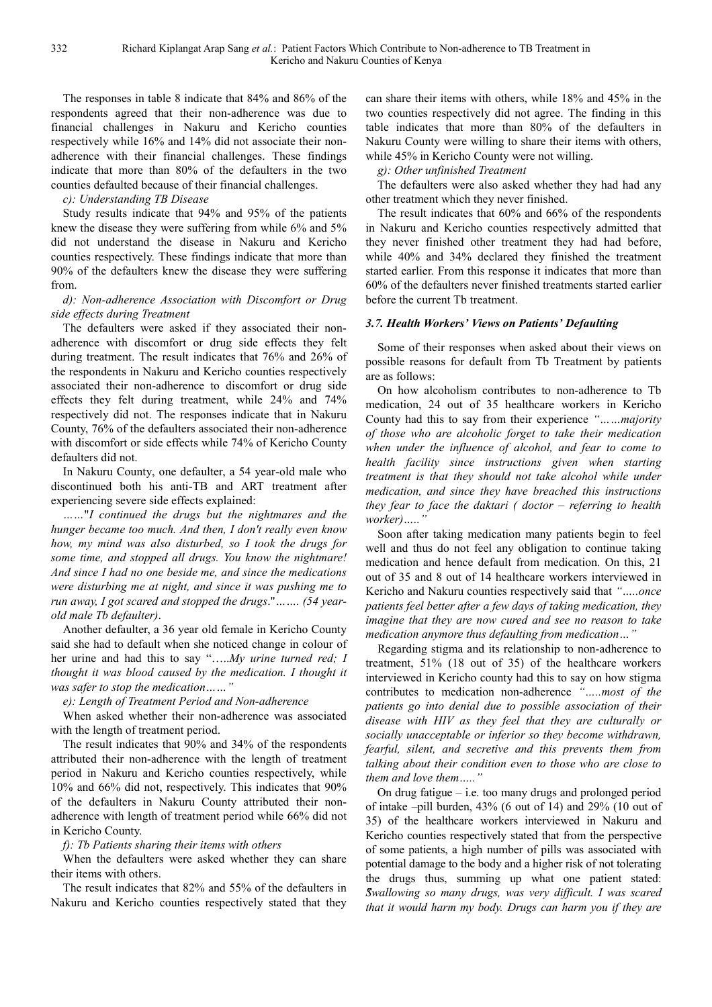The responses in table 8 indicate that 84% and 86% of the respondents agreed that their non-adherence was due to financial challenges in Nakuru and Kericho counties respectively while 16% and 14% did not associate their nonadherence with their financial challenges. These findings indicate that more than 80% of the defaulters in the two counties defaulted because of their financial challenges.

*c): Understanding TB Disease* 

Study results indicate that 94% and 95% of the patients knew the disease they were suffering from while 6% and 5% did not understand the disease in Nakuru and Kericho counties respectively. These findings indicate that more than 90% of the defaulters knew the disease they were suffering from.

#### *d): Non-adherence Association with Discomfort or Drug side effects during Treatment*

The defaulters were asked if they associated their nonadherence with discomfort or drug side effects they felt during treatment. The result indicates that 76% and 26% of the respondents in Nakuru and Kericho counties respectively associated their non-adherence to discomfort or drug side effects they felt during treatment, while 24% and 74% respectively did not. The responses indicate that in Nakuru County, 76% of the defaulters associated their non-adherence with discomfort or side effects while 74% of Kericho County defaulters did not.

In Nakuru County, one defaulter, a 54 year-old male who discontinued both his anti-TB and ART treatment after experiencing severe side effects explained:

*……*"*I continued the drugs but the nightmares and the hunger became too much. And then, I don't really even know how, my mind was also disturbed, so I took the drugs for some time, and stopped all drugs. You know the nightmare! And since I had no one beside me, and since the medications were disturbing me at night, and since it was pushing me to run away, I got scared and stopped the drugs*."*……. (54 yearold male Tb defaulter)*.

Another defaulter, a 36 year old female in Kericho County said she had to default when she noticed change in colour of her urine and had this to say "…..*My urine turned red; I thought it was blood caused by the medication. I thought it was safer to stop the medication……"*

*e): Length of Treatment Period and Non-adherence* 

When asked whether their non-adherence was associated with the length of treatment period.

The result indicates that 90% and 34% of the respondents attributed their non-adherence with the length of treatment period in Nakuru and Kericho counties respectively, while 10% and 66% did not, respectively. This indicates that 90% of the defaulters in Nakuru County attributed their nonadherence with length of treatment period while 66% did not in Kericho County.

*f): Tb Patients sharing their items with others* 

When the defaulters were asked whether they can share their items with others.

The result indicates that 82% and 55% of the defaulters in Nakuru and Kericho counties respectively stated that they can share their items with others, while 18% and 45% in the two counties respectively did not agree. The finding in this table indicates that more than 80% of the defaulters in Nakuru County were willing to share their items with others, while 45% in Kericho County were not willing.

*g): Other unfinished Treatment* 

The defaulters were also asked whether they had had any other treatment which they never finished.

The result indicates that 60% and 66% of the respondents in Nakuru and Kericho counties respectively admitted that they never finished other treatment they had had before, while 40% and 34% declared they finished the treatment started earlier. From this response it indicates that more than 60% of the defaulters never finished treatments started earlier before the current Tb treatment.

#### *3.7. Health Workers' Views on Patients' Defaulting*

Some of their responses when asked about their views on possible reasons for default from Tb Treatment by patients are as follows:

On how alcoholism contributes to non-adherence to Tb medication, 24 out of 35 healthcare workers in Kericho County had this to say from their experience *"……majority of those who are alcoholic forget to take their medication when under the influence of alcohol, and fear to come to health facility since instructions given when starting treatment is that they should not take alcohol while under medication, and since they have breached this instructions they fear to face the daktari ( doctor – referring to health worker)….."* 

Soon after taking medication many patients begin to feel well and thus do not feel any obligation to continue taking medication and hence default from medication. On this, 21 out of 35 and 8 out of 14 healthcare workers interviewed in Kericho and Nakuru counties respectively said that *"…..once patients feel better after a few days of taking medication, they imagine that they are now cured and see no reason to take medication anymore thus defaulting from medication…"* 

Regarding stigma and its relationship to non-adherence to treatment, 51% (18 out of 35) of the healthcare workers interviewed in Kericho county had this to say on how stigma contributes to medication non-adherence *"…..most of the patients go into denial due to possible association of their disease with HIV as they feel that they are culturally or socially unacceptable or inferior so they become withdrawn, fearful, silent, and secretive and this prevents them from talking about their condition even to those who are close to them and love them….."*

On drug fatigue – i.e. too many drugs and prolonged period of intake –pill burden, 43% (6 out of 14) and 29% (10 out of 35) of the healthcare workers interviewed in Nakuru and Kericho counties respectively stated that from the perspective of some patients, a high number of pills was associated with potential damage to the body and a higher risk of not tolerating the drugs thus, summing up what one patient stated: *"Swallowing so many drugs, was very difficult. I was scared that it would harm my body. Drugs can harm you if they are*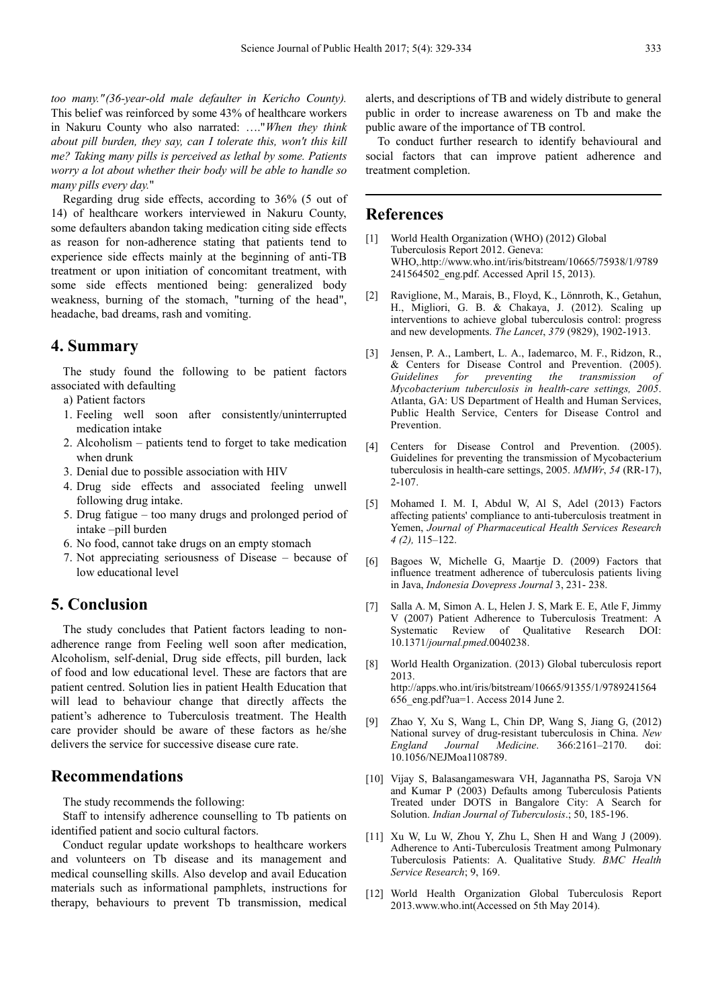*too many." (36-year-old male defaulter in Kericho County).*  This belief was reinforced by some 43% of healthcare workers in Nakuru County who also narrated: …."*When they think about pill burden, they say, can I tolerate this, won't this kill me? Taking many pills is perceived as lethal by some. Patients worry a lot about whether their body will be able to handle so many pills every day.*"

Regarding drug side effects, according to 36% (5 out of 14) of healthcare workers interviewed in Nakuru County, some defaulters abandon taking medication citing side effects as reason for non-adherence stating that patients tend to experience side effects mainly at the beginning of anti-TB treatment or upon initiation of concomitant treatment, with some side effects mentioned being: generalized body weakness, burning of the stomach, "turning of the head", headache, bad dreams, rash and vomiting.

## **4. Summary**

The study found the following to be patient factors associated with defaulting

- a) Patient factors
- 1. Feeling well soon after consistently/uninterrupted medication intake
- 2. Alcoholism patients tend to forget to take medication when drunk
- 3. Denial due to possible association with HIV
- 4. Drug side effects and associated feeling unwell following drug intake.
- 5. Drug fatigue too many drugs and prolonged period of intake –pill burden
- 6. No food, cannot take drugs on an empty stomach
- 7. Not appreciating seriousness of Disease because of low educational level

# **5. Conclusion**

The study concludes that Patient factors leading to nonadherence range from Feeling well soon after medication, Alcoholism, self-denial, Drug side effects, pill burden, lack of food and low educational level. These are factors that are patient centred. Solution lies in patient Health Education that will lead to behaviour change that directly affects the patient's adherence to Tuberculosis treatment. The Health care provider should be aware of these factors as he/she delivers the service for successive disease cure rate.

### **Recommendations**

The study recommends the following:

Staff to intensify adherence counselling to Tb patients on identified patient and socio cultural factors.

Conduct regular update workshops to healthcare workers and volunteers on Tb disease and its management and medical counselling skills. Also develop and avail Education materials such as informational pamphlets, instructions for therapy, behaviours to prevent Tb transmission, medical alerts, and descriptions of TB and widely distribute to general public in order to increase awareness on Tb and make the public aware of the importance of TB control.

To conduct further research to identify behavioural and social factors that can improve patient adherence and treatment completion.

#### **References**

- [1] World Health Organization (WHO) (2012) Global Tuberculosis Report 2012. Geneva: WHO,.http://www.who.int/iris/bitstream/10665/75938/1/9789 241564502\_eng.pdf. Accessed April 15, 2013).
- [2] Raviglione, M., Marais, B., Floyd, K., Lönnroth, K., Getahun, H., Migliori, G. B. & Chakaya, J. (2012). Scaling up interventions to achieve global tuberculosis control: progress and new developments. *The Lancet*, *379* (9829), 1902-1913.
- [3] Jensen, P. A., Lambert, L. A., Iademarco, M. F., Ridzon, R., & Centers for Disease Control and Prevention. (2005). *Guidelines for preventing the transmission of Mycobacterium tuberculosis in health-care settings, 2005*. Atlanta, GA: US Department of Health and Human Services, Public Health Service, Centers for Disease Control and Prevention.
- [4] Centers for Disease Control and Prevention. (2005). Guidelines for preventing the transmission of Mycobacterium tuberculosis in health-care settings, 2005. *MMWr*, *54* (RR-17), 2-107.
- [5] Mohamed I. M. I, Abdul W, Al S, Adel (2013) Factors affecting patients' compliance to anti-tuberculosis treatment in Yemen, *Journal of Pharmaceutical Health Services Research 4 (2),* 115–122.
- [6] Bagoes W, Michelle G, Maartje D. (2009) Factors that influence treatment adherence of tuberculosis patients living in Java, *Indonesia Dovepress Journal* 3, 231- 238.
- [7] Salla A. M, Simon A. L, Helen J. S, Mark E. E, Atle F, Jimmy V (2007) Patient Adherence to Tuberculosis Treatment: A Systematic Review of Qualitative Research DOI: 10.1371/*journal.pmed*.0040238.
- [8] World Health Organization. (2013) Global tuberculosis report 2013. http://apps.who.int/iris/bitstream/10665/91355/1/9789241564 656\_eng.pdf?ua=1. Access 2014 June 2.
- [9] Zhao Y, Xu S, Wang L, Chin DP, Wang S, Jiang G, (2012) National survey of drug-resistant tuberculosis in China. *New England Journal Medicine*. 366:2161–2170. doi: 10.1056/NEJMoa1108789.
- [10] Vijay S, Balasangameswara VH, Jagannatha PS, Saroja VN and Kumar P (2003) Defaults among Tuberculosis Patients Treated under DOTS in Bangalore City: A Search for Solution. *Indian Journal of Tuberculosis*.; 50, 185-196.
- [11] Xu W, Lu W, Zhou Y, Zhu L, Shen H and Wang J (2009). Adherence to Anti-Tuberculosis Treatment among Pulmonary Tuberculosis Patients: A. Qualitative Study. *BMC Health Service Research*; 9, 169.
- [12] World Health Organization Global Tuberculosis Report 2013.www.who.int(Accessed on 5th May 2014).